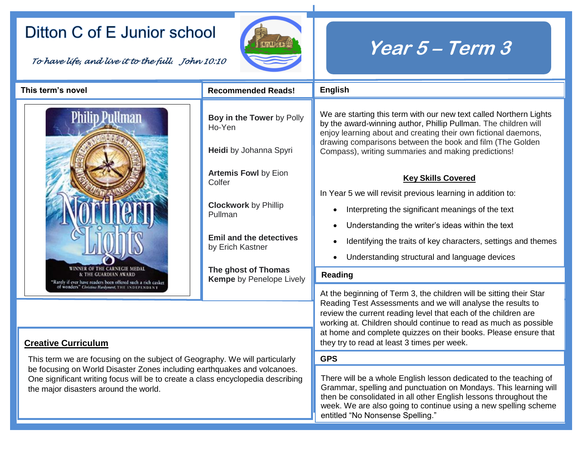## Ditton C of E Junior school

*To have life, and live it to the full. John 10:10* 



## **Year 5 – Term 3**

| This term's novel                                                                                                                                                                                                                                                                   | <b>Recommended Reads!</b>                                            | <b>English</b>                                                                                                                                                                                                                                                                                                              |  |
|-------------------------------------------------------------------------------------------------------------------------------------------------------------------------------------------------------------------------------------------------------------------------------------|----------------------------------------------------------------------|-----------------------------------------------------------------------------------------------------------------------------------------------------------------------------------------------------------------------------------------------------------------------------------------------------------------------------|--|
| Philip Pullman                                                                                                                                                                                                                                                                      | Boy in the Tower by Polly<br>Ho-Yen<br>Heidi by Johanna Spyri        | We are starting this term with our new text called Northern Lights<br>by the award-winning author, Phillip Pullman. The children will<br>enjoy learning about and creating their own fictional daemons,<br>drawing comparisons between the book and film (The Golden<br>Compass), writing summaries and making predictions! |  |
|                                                                                                                                                                                                                                                                                     | <b>Artemis Fowl by Eion</b><br>Colfer<br><b>Clockwork by Phillip</b> | <b>Key Skills Covered</b><br>In Year 5 we will revisit previous learning in addition to:                                                                                                                                                                                                                                    |  |
|                                                                                                                                                                                                                                                                                     | Pullman                                                              | Interpreting the significant meanings of the text<br>Understanding the writer's ideas within the text                                                                                                                                                                                                                       |  |
|                                                                                                                                                                                                                                                                                     | <b>Emil and the detectives</b><br>by Erich Kastner                   | Identifying the traits of key characters, settings and themes                                                                                                                                                                                                                                                               |  |
|                                                                                                                                                                                                                                                                                     |                                                                      | Understanding structural and language devices                                                                                                                                                                                                                                                                               |  |
| WINNER OF THE CARNEGIE MEDAI<br>& THE GUARDIAN AWARD<br>"Rarely if ever have readers been offered such a rich casket<br>of wonders" Christius Hardyment, THE INDEPENDENT                                                                                                            | The ghost of Thomas<br><b>Kempe by Penelope Lively</b>               | <b>Reading</b>                                                                                                                                                                                                                                                                                                              |  |
|                                                                                                                                                                                                                                                                                     |                                                                      | At the beginning of Term 3, the children will be sitting their Star<br>Reading Test Assessments and we will analyse the results to<br>review the current reading level that each of the children are<br>working at. Children should continue to read as much as possible                                                    |  |
| <b>Creative Curriculum</b>                                                                                                                                                                                                                                                          |                                                                      | at home and complete quizzes on their books. Please ensure that<br>they try to read at least 3 times per week.                                                                                                                                                                                                              |  |
| This term we are focusing on the subject of Geography. We will particularly<br>be focusing on World Disaster Zones including earthquakes and volcanoes.<br>One significant writing focus will be to create a class encyclopedia describing<br>the major disasters around the world. |                                                                      | <b>GPS</b>                                                                                                                                                                                                                                                                                                                  |  |
|                                                                                                                                                                                                                                                                                     |                                                                      | There will be a whole English lesson dedicated to the teaching of<br>Grammar, spelling and punctuation on Mondays. This learning will<br>then be consolidated in all other English lessons throughout the<br>week. We are also going to continue using a new spelling scheme<br>entitled "No Nonsense Spelling."            |  |